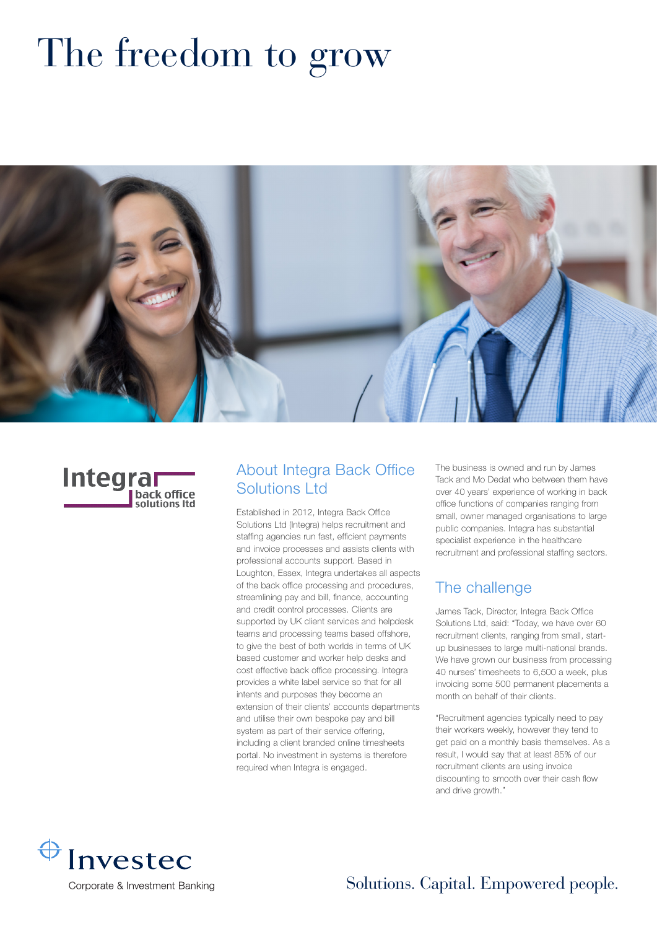# The freedom to grow





#### About Integra Back Office Solutions Ltd

Established in 2012, Integra Back Office Solutions Ltd (Integra) helps recruitment and staffing agencies run fast, efficient payments and invoice processes and assists clients with professional accounts support. Based in Loughton, Essex, Integra undertakes all aspects of the back office processing and procedures, streamlining pay and bill, finance, accounting and credit control processes. Clients are supported by UK client services and helpdesk teams and processing teams based offshore, to give the best of both worlds in terms of UK based customer and worker help desks and cost effective back office processing. Integra provides a white label service so that for all intents and purposes they become an extension of their clients' accounts departments and utilise their own bespoke pay and bill system as part of their service offering, including a client branded online timesheets portal. No investment in systems is therefore required when Integra is engaged.

The business is owned and run by James Tack and Mo Dedat who between them have over 40 years' experience of working in back office functions of companies ranging from small, owner managed organisations to large public companies. Integra has substantial specialist experience in the healthcare recruitment and professional staffing sectors.

### The challenge

James Tack, Director, Integra Back Office Solutions Ltd, said: "Today, we have over 60 recruitment clients, ranging from small, startup businesses to large multi-national brands. We have grown our business from processing 40 nurses' timesheets to 6,500 a week, plus invoicing some 500 permanent placements a month on behalf of their clients.

"Recruitment agencies typically need to pay their workers weekly, however they tend to get paid on a monthly basis themselves. As a result, I would say that at least 85% of our recruitment clients are using invoice discounting to smooth over their cash flow and drive growth."



Solutions. Capital. Empowered people.